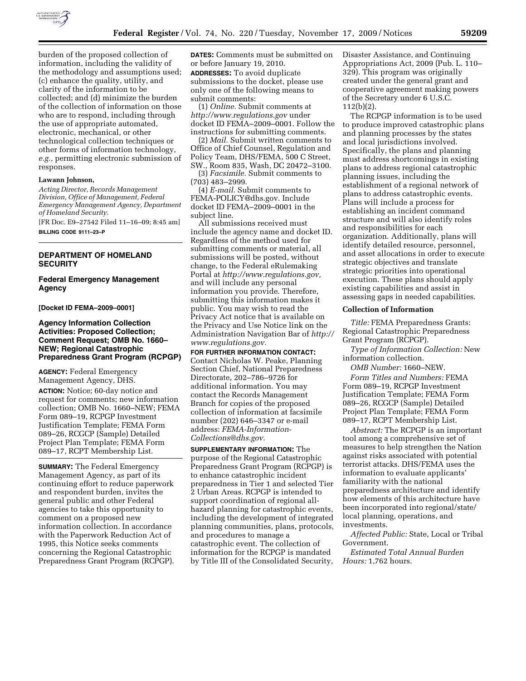

burden of the proposed collection of information, including the validity of the methodology and assumptions used; (c) enhance the quality, utility, and clarity of the information to be collected; and (d) minimize the burden of the collection of information on those who are to respond, including through the use of appropriate automated, electronic, mechanical, or other technological collection techniques or other forms of information technology, *e.g.,* permitting electronic submission of responses.

#### **Lawann Johnson,**

*Acting Director, Records Management Division, Office of Management, Federal Emergency Management Agency, Department of Homeland Security.* 

[FR Doc. E9–27542 Filed 11–16–09; 8:45 am] **BILLING CODE 9111–23–P** 

# **DEPARTMENT OF HOMELAND SECURITY**

### **Federal Emergency Management Agency**

**[Docket ID FEMA–2009–0001]** 

## **Agency Information Collection Activities: Proposed Collection; Comment Request; OMB No. 1660– NEW; Regional Catastrophic Preparedness Grant Program (RCPGP)**

**AGENCY:** Federal Emergency Management Agency, DHS.

**ACTION:** Notice; 60-day notice and request for comments; new information collection; OMB No. 1660–NEW; FEMA Form 089–19, RCPGP Investment Justification Template; FEMA Form 089–26, RCGCP (Sample) Detailed Project Plan Template; FEMA Form 089–17, RCPT Membership List.

**SUMMARY:** The Federal Emergency Management Agency, as part of its continuing effort to reduce paperwork and respondent burden, invites the general public and other Federal agencies to take this opportunity to comment on a proposed new information collection. In accordance with the Paperwork Reduction Act of 1995, this Notice seeks comments concerning the Regional Catastrophic Preparedness Grant Program (RCPGP).

**DATES:** Comments must be submitted on or before January 19, 2010. **ADDRESSES:** To avoid duplicate submissions to the docket, please use only one of the following means to submit comments:

(1) *Online.* Submit comments at *http://www.regulations.gov* under docket ID FEMA–2009–0001. Follow the instructions for submitting comments.

(2) *Mail.* Submit written comments to Office of Chief Counsel, Regulation and Policy Team, DHS/FEMA, 500 C Street, SW., Room 835, Wash, DC 20472–3100.

(3) *Facsimile.* Submit comments to (703) 483–2999.

(4) *E-mail.* Submit comments to FEMA-POLICY@dhs.gov. Include docket ID FEMA–2009–0001 in the subject line.

All submissions received must include the agency name and docket ID. Regardless of the method used for submitting comments or material, all submissions will be posted, without change, to the Federal eRulemaking Portal at *http://www.regulations.gov,*  and will include any personal information you provide. Therefore, submitting this information makes it public. You may wish to read the Privacy Act notice that is available on the Privacy and Use Notice link on the Administration Navigation Bar of *http:// www.regulations.gov.* 

**FOR FURTHER INFORMATION CONTACT:**  Contact Nicholas W. Peake, Planning Section Chief, National Preparedness Directorate, 202–786–9726 for additional information. You may contact the Records Management Branch for copies of the proposed collection of information at facsimile number (202) 646–3347 or e-mail address: *FEMA-Information-Collections@dhs.gov*.

**SUPPLEMENTARY INFORMATION:** The purpose of the Regional Catastrophic Preparedness Grant Program (RCPGP) is to enhance catastrophic incident preparedness in Tier 1 and selected Tier 2 Urban Areas. RCPGP is intended to support coordination of regional allhazard planning for catastrophic events, including the development of integrated planning communities, plans, protocols, and procedures to manage a catastrophic event. The collection of information for the RCPGP is mandated by Title III of the Consolidated Security,

Disaster Assistance, and Continuing Appropriations Act, 2009 (Pub. L. 110– 329). This program was originally created under the general grant and cooperative agreement making powers of the Secretary under 6 U.S.C. 112(b)(2).

The RCPGP information is to be used to produce improved catastrophic plans and planning processes by the states and local jurisdictions involved. Specifically, the plans and planning must address shortcomings in existing plans to address regional catastrophic planning issues, including the establishment of a regional network of plans to address catastrophic events. Plans will include a process for establishing an incident command structure and will also identify roles and responsibilities for each organization. Additionally, plans will identify detailed resource, personnel, and asset allocations in order to execute strategic objectives and translate strategic priorities into operational execution. These plans should apply existing capabilities and assist in assessing gaps in needed capabilities.

#### **Collection of Information**

*Title:* FEMA Preparedness Grants: Regional Catastrophic Preparedness Grant Program (RCPGP).

*Type of Information Collection:* New information collection.

*OMB Number:* 1660–NEW.

*Form Titles and Numbers:* FEMA Form 089–19, RCPGP Investment Justification Template; FEMA Form 089–26, RCGCP (Sample) Detailed Project Plan Template; FEMA Form 089–17, RCPT Membership List.

*Abstract:* The RCPGP is an important tool among a comprehensive set of measures to help strengthen the Nation against risks associated with potential terrorist attacks. DHS/FEMA uses the information to evaluate applicants' familiarity with the national preparedness architecture and identify how elements of this architecture have been incorporated into regional/state/ local planning, operations, and investments.

*Affected Public:* State, Local or Tribal Government.

*Estimated Total Annual Burden Hours:* 1,762 hours.